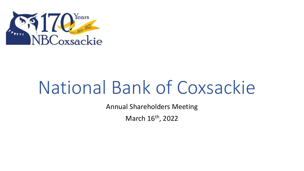

Annual Shareholders Meeting

March 16<sup>th</sup>, 2022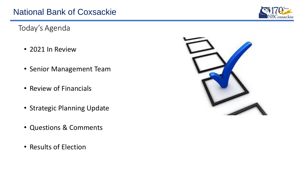Today's Agenda

- 2021 In Review
- Senior Management Team
- Review of Financials
- Strategic Planning Update
- Questions & Comments
- Results of Election



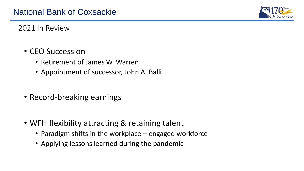

2021 In Review

- CEO Succession
	- Retirement of James W. Warren
	- Appointment of successor, John A. Balli
- Record-breaking earnings
- WFH flexibility attracting & retaining talent
	- Paradigm shifts in the workplace engaged workforce
	- Applying lessons learned during the pandemic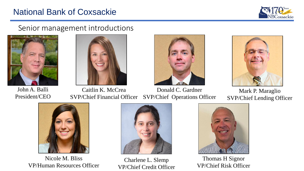

#### Senior management introductions



John A. Balli President/CEO





Caitlin K. McCrea SVP/Chief Financial Officer Donald C. Gardner SVP/Chief Operations Officer



Mark P. Maraglio SVP/Chief Lending Officer



Nicole M. Bliss VP/Human Resources Officer



Charlene L. Slemp VP/Chief Credit Officer



Thomas H Signor VP/Chief Risk Officer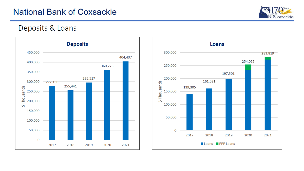

#### Deposits & Loans



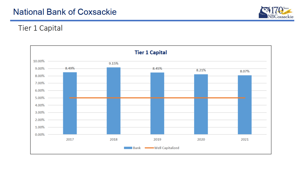

#### Tier 1 Capital

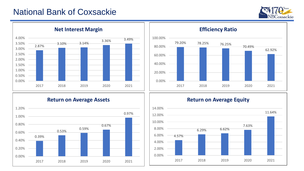



#### **Net Interest Margin**



#### **Return on Average Assets**



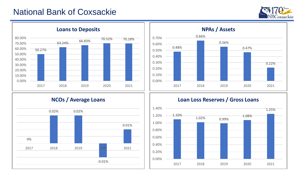



#### **Loans to Deposits**



### **NCOs / Average Loans**



#### **Loan Loss Reserves / Gross Loans**

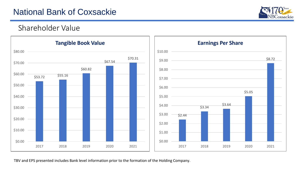

\$8.72

\$5.05

#### Shareholder Value



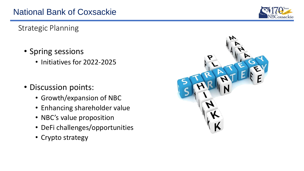

Strategic Planning

- Spring sessions
	- Initiatives for 2022-2025
- Discussion points:
	- Growth/expansion of NBC
	- Enhancing shareholder value
	- NBC's value proposition
	- DeFi challenges/opportunities
	- Crypto strategy

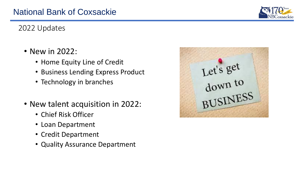

#### 2022 Updates

- New in 2022:
	- Home Equity Line of Credit
	- Business Lending Express Product
	- Technology in branches
- New talent acquisition in 2022:
	- Chief Risk Officer
	- Loan Department
	- Credit Department
	- Quality Assurance Department

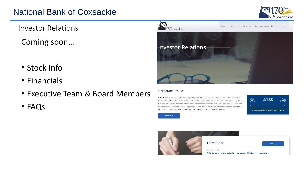

Investor Relations

Coming soon…

- Stock Info
- Financials
- Executive Team & Board Members
- FAQs



#### Corporate Profile

NBC Bancorp, Inc. is a bank holding company and is the parent company of National Bank of Coxsackie. NBC operates branches across Albany, Greene, and Schoharie Counties. They provide full-service banking for both retail and commercial customers. National Bank of Coxsackie has been in existence since 1852 and prides itself on providing their customers with the benefits of modern technology, while still delivering traditional community bank service.

| OTC:<br><b>NCXS</b> | \$51.00                                               | $+0.00$<br>(0.00% |  |
|---------------------|-------------------------------------------------------|-------------------|--|
| Volumer             |                                                       | 14                |  |
|                     | 20 minutes minimum delay   January 11, 2022   3:43 PM |                   |  |

**Learn More** 

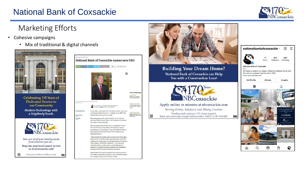

#### Marketing Efforts

- Cohesive campaigns
	- Mix of traditional & digital channels



**Celebrating 170 Years of Dedicated Service to** our Community Modern Technology with a Neighborly Touch.



Take care of all your banking needs, from wherever you are... Stop into your local branch or visit us at nbcoxsackie.com!

Serving Greene, Schoharie and Albany Counties

National Bank of Coxsackie names new CEO Bi Email | f Share | in Share | if Theat | p Share Article | in Pint | (2) Octor Reprints  $\mathcal{L}$ 



*<u>PECOMMENDED</u>* TRANSPORTATION

COTA to start electri

car sharing program

**ERCIAL REAL ESTAT** 

Cervene signs lease for<br>first location in Alberry

Orono estate sells for<br>\$8.8M over 3 years aft<br>first listing



John A. Balli -- the former CEO of Kinderhook Bank, which sold N THIS ARTICLE to Community Bank NA in 2019 - is taking over as CEO of the National Bank of Coxsackie next week. mes Warre

**CONTRACT** 

**An Ball** 

FDK

.<br>King & Financial Services

- Balli is stepping into the role on Monday, Oct. 18, that was previously held by James Warren, who has been with the bank for 25 years. Warren is retiring
- Balli was most recently an executive vice president with Del Norte Credit Union in New Mexico. He started his career in accounting as a CPA and spent 12 years with Pattison Koskey & Rath. He joined Kinderhook Bank as CFO in 2003 and was named CEO in 2013
- "National Bank of Coxsackie enjoys a long history of providing stellar service to customers and communities and is perfectly positioned to accelerate growth and market share in the greater Capital Region," Balli said in a statement. "I am very much looking forward to working with an outstanding team of bankers as we expand our presence and provide outstanding banking solutions to retail and business customers."

National Bank of Coxsackie has eight branches and more than \$409 million in deposits as of June 30, 2021, and eight branches across Greene, Albany and Schoharie counties.



**Building Your Dream Home?** National Bank of Coxsackie can Help You with a Construction Loan<sup>1</sup>



Apply online in minutes at nbcoxsackie.com Serving Greene, Schoharie and Albany Counties <sup>1</sup>Pending credit approval. 11% down required. Rates and terms may change without notice. NMLS Co ID # 816880

| nationalbankofcoxsackie ×<br>A                                                                                              |          |             |                            |                                                                                                                            |  |  |  |
|-----------------------------------------------------------------------------------------------------------------------------|----------|-------------|----------------------------|----------------------------------------------------------------------------------------------------------------------------|--|--|--|
| <b>National Bank of Coxsackie</b><br>Bank                                                                                   |          | 11<br>Posts | 102<br>Followers Following | 267                                                                                                                        |  |  |  |
| We pride ourselves on being a reliable hometown bank that<br>focuses on customer service since 1852.<br>www.nbcoxsackie.com |          |             |                            |                                                                                                                            |  |  |  |
| <b>Edit Profile</b>                                                                                                         |          | ad tools    |                            | Insights                                                                                                                   |  |  |  |
|                                                                                                                             | 囲        |             |                            | 嗿                                                                                                                          |  |  |  |
|                                                                                                                             | $\pi$ mm |             |                            | In observance of President's Day.<br>National Bank of Coasackie<br>wildlife<br><b>CLOSED</b><br>Monday, February 214, 2022 |  |  |  |
|                                                                                                                             |          |             |                            |                                                                                                                            |  |  |  |
| ⋒                                                                                                                           |          | Æ           | رها                        |                                                                                                                            |  |  |  |

FDIC